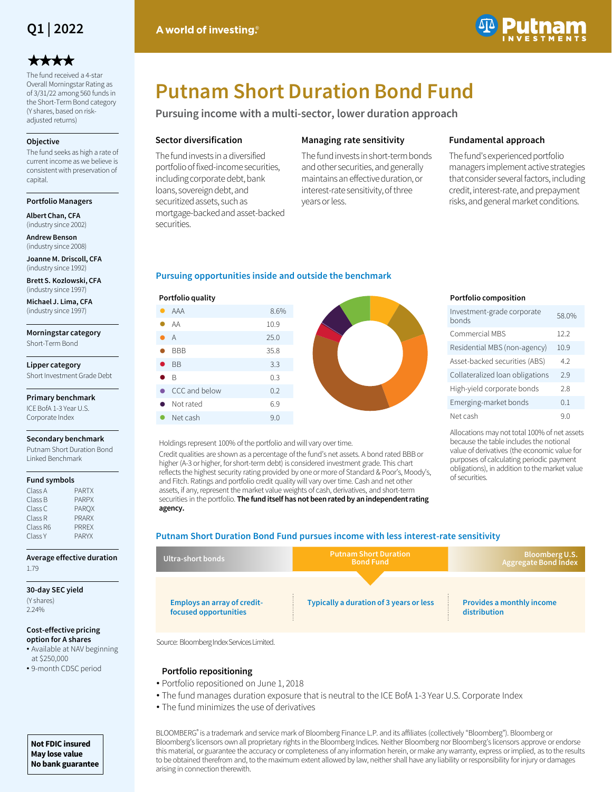

# \*\*\*\*

The fund received a 4-star Overall Morningstar Rating as of 3/31/22 among 560 funds in the Short-Term Bond category (Y shares, based on riskadjusted returns)

#### **Objective**

The fund seeks as high a rate of current income as we believe is consistent with preservation of capital.

#### **Portfolio Managers**

**Albert Chan, CFA**  (industry since 2002)

**Andrew Benson**  (industry since 2008)

**Joanne M. Driscoll, CFA**  (industry since 1992)

**Brett S. Kozlowski, CFA**  (industry since 1997)

**Michael J. Lima, CFA**  (industry since 1997)

**Morningstar category** Short-Term Bond

**Lipper category** Short Investment Grade Debt

### **Primary benchmark**

ICE BofA 1-3 Year U.S. Corporate Index

#### **Secondary benchmark**

Putnam Short Duration Bond Linked Benchmark

#### **Fund symbols**

| Class A  | <b>PARTX</b> |
|----------|--------------|
| Class B  | <b>PARPX</b> |
| Class C  | <b>PAROX</b> |
| Class R  | <b>PRARX</b> |
| Class R6 | <b>PRRFX</b> |
| Class Y  | <b>PARYX</b> |

**Average effective duration** 1.79

#### **30-day SEC yield**

(Y shares) 2.24%

#### **Cost-effective pricing option for A shares**

• Available at NAV beginning at \$250,000

## • 9-month CDSC period

- 
- The fund manages duration exposure that is neutral to the ICE BofA 1-3 Year U.S. Corporate Index
- 

**Not FDIC insured May lose value No bank guarantee** **Putnam Short Duration Bond Fund**

**Pursuing income with a multi-sector, lower duration approach**

### **Sector diversification**

The fund invests in a diversified portfolio of fixed-income securities, including corporate debt, bank loans, sovereign debt, and securitized assets, such as mortgage-backed and asset-backed securities.

### **Managing rate sensitivity**

The fund invests in short-term bonds and other securities, and generally maintains an effective duration, or interest-rate sensitivity, of three years or less.

### **Fundamental approach**

The fund's experienced portfolio managers implement active strategies that consider several factors, including credit, interest-rate, and prepayment risks, and general market conditions.

### **Pursuing opportunities inside and outside the benchmark**

### **Portfolio quality**

|           | AAA            | 8.6% |
|-----------|----------------|------|
|           | AA             | 10.9 |
|           | $\overline{A}$ | 25.0 |
|           | <b>BBB</b>     | 35.8 |
| $\bullet$ | <b>BB</b>      | 3.3  |
|           | $\bullet$ b    | 0.3  |
|           | CCC and below  | 0.2  |
|           | • Not rated    | 6.9  |
|           | Net cash       | 9.0  |

### Holdings represent 100% of the portfolio and will vary over time.

Credit qualities are shown as a percentage of the fund's net assets. A bond rated BBB or higher (A-3 or higher, for short-term debt) is considered investment grade. This chart reflects the highest security rating provided by one or more of Standard & Poor's, Moody's, and Fitch. Ratings and portfolio credit quality will vary over time. Cash and net other assets, if any, represent the market value weights of cash, derivatives, and short-term securities in the portfolio. **The fund itself has not been rated by an independent rating agency.**

### **Putnam Short Duration Bond Fund pursues income with less interest-rate sensitivity**

| Ultra-short bonds                                           | <b>Putnam Short Duration</b><br><b>Bond Fund</b> | Bloomberg U.S.<br><b>Aggregate Bond Index</b>    |  |  |
|-------------------------------------------------------------|--------------------------------------------------|--------------------------------------------------|--|--|
| <b>Employs an array of credit-</b><br>focused opportunities | Typically a duration of 3 years or less          | <b>Provides a monthly income</b><br>distribution |  |  |

Source: Bloomberg Index Services Limited.

### **Portfolio repositioning**

- Portfolio repositioned on June 1, 2018
- The fund minimizes the use of derivatives

BLOOMBERG® is a trademark and service mark of Bloomberg Finance L.P. and its affiliates (collectively "Bloomberg"). Bloomberg or Bloomberg's licensors own all proprietary rights in the Bloomberg Indices. Neither Bloomberg nor Bloomberg's licensors approve or endorse this material, or guarantee the accuracy or completeness of any information herein, or make any warranty, express or implied, as to the results to be obtained therefrom and, to the maximum extent allowed by law, neither shall have any liability or responsibility for injury or damages arising in connection therewith.

### **Portfolio composition**

| Investment-grade corporate<br>bonds | 58.0% |
|-------------------------------------|-------|
| Commercial MBS                      | 122   |
| Residential MBS (non-agency)        | 10.9  |
| Asset-backed securities (ABS)       | 42    |
| Collateralized loan obligations     | 29    |
| High-yield corporate bonds          | 2.8   |
| Emerging-market bonds               | 01    |
| Net cash                            | ۹0    |

Allocations may not total 100% of net assets because the table includes the notional value of derivatives (the economic value for purposes of calculating periodic payment obligations), in addition to the market value of securities.

A world of investing.<sup>®</sup>